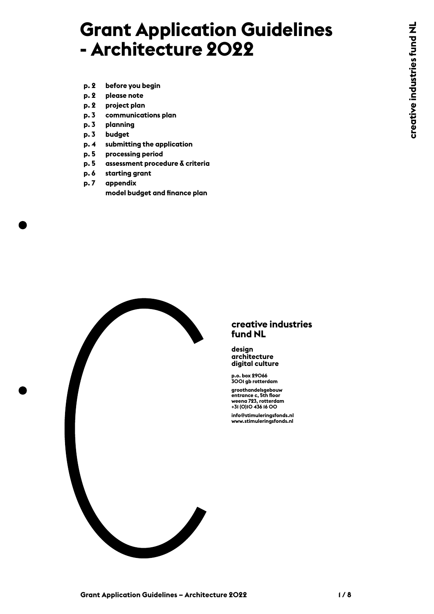# **Grant Application Guidelines - Architecture 2022**

- **p. 2 before you begin**
- **p. 2 please note**
- **p. 2 project plan**
- **p. 3 communications plan**
- **p. 3 planning**
- **p. 3 budget**
- **p. 4 submitting [t](#page-5-0)he application**
- **p. 5 processing period**
- **p. 5 [assessment procedure & criteria](#page-5-0)**
- **p. 6 starting grant**
- **p. 7 appendix model budget and finance plan**



### **creative industries fund NL**

**design architecture digital culture**

**p.o. box 29066 3001 gb rotterdam**

**groothandelsgebouw entrance c, 5th floor weena 723, rotterdam +31 (0)10 436 16 00 info@stimuleringsfonds.nl www.stimuleringsfonds.nl**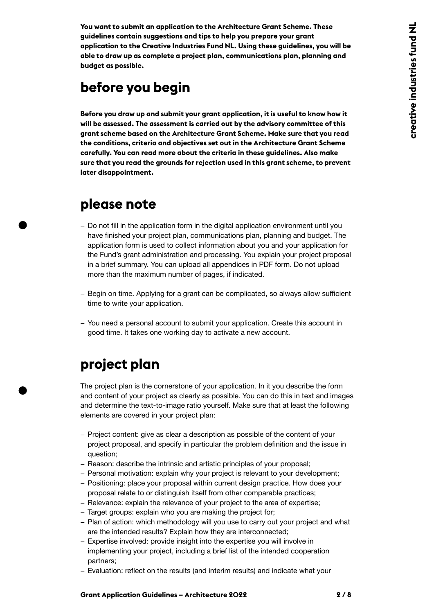**You want to submit an application to the Architecture Grant Scheme. These guidelines contain suggestions and tips to help you prepare your grant application to the Creative Industries Fund NL. Using these guidelines, you will be able to draw up as complete a project plan, communications plan, planning and budget as possible.**

## **before you begin**

**Before you draw up and submit your grant application, it is useful to know how it will be assessed. The assessment is carried out by the advisory committee of this grant scheme based on the Architecture Grant Scheme. Make sure that you read the conditions, criteria and objectives set out in the Architecture Grant Scheme carefully. You can read more about the criteria in these guidelines. Also make sure that you read the grounds for rejection used in this grant scheme, to prevent later disappointment.**

## **please note**

- − Do not fill in the application form in the digital application environment until you have finished your project plan, communications plan, planning and budget. The application form is used to collect information about you and your application for the Fund's grant administration and processing. You explain your project proposal in a brief summary. You can upload all appendices in PDF form. Do not upload more than the maximum number of pages, if indicated.
- − Begin on time. Applying for a grant can be complicated, so always allow sufficient time to write your application.
- − You need a personal account to submit your application. Create this account in good time. It takes one working day to activate a new account.

## **project plan**

The project plan is the cornerstone of your application. In it you describe the form and content of your project as clearly as possible. You can do this in text and images and determine the text-to-image ratio yourself. Make sure that at least the following elements are covered in your project plan:

- − Project content: give as clear a description as possible of the content of your project proposal, and specify in particular the problem definition and the issue in question;
- − Reason: describe the intrinsic and artistic principles of your proposal;
- − Personal motivation: explain why your project is relevant to your development;
- − Positioning: place your proposal within current design practice. How does your proposal relate to or distinguish itself from other comparable practices;
- − Relevance: explain the relevance of your project to the area of expertise;
- − Target groups: explain who you are making the project for;
- − Plan of action: which methodology will you use to carry out your project and what are the intended results? Explain how they are interconnected;
- − Expertise involved: provide insight into the expertise you will involve in implementing your project, including a brief list of the intended cooperation partners;
- − Evaluation: reflect on the results (and interim results) and indicate what your

#### **Grant Application Guidelines – Architecture 2022 2 / 8**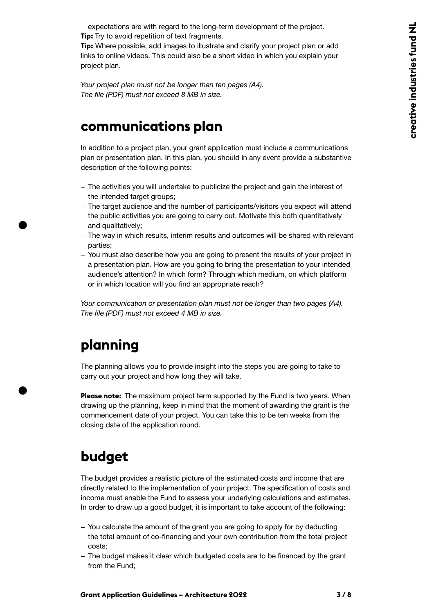expectations are with regard to the long-term development of the project. **Tip:** Try to avoid repetition of text fragments.

**Tip:** Where possible, add images to illustrate and clarify your project plan or add links to online videos. This could also be a short video in which you explain your project plan.

*Your project plan must not be longer than ten pages (A4). The file (PDF) must not exceed 8 MB in size.*

### **communications plan**

In addition to a project plan, your grant application must include a communications plan or presentation plan. In this plan, you should in any event provide a substantive description of the following points:

- − The activities you will undertake to publicize the project and gain the interest of the intended target groups;
- − The target audience and the number of participants/visitors you expect will attend the public activities you are going to carry out. Motivate this both quantitatively and qualitatively;
- − The way in which results, interim results and outcomes will be shared with relevant parties;
- − You must also describe how you are going to present the results of your project in a presentation plan. How are you going to bring the presentation to your intended audience's attention? In which form? Through which medium, on which platform or in which location will you find an appropriate reach?

*Your communication or presentation plan must not be longer than two pages (A4). The file (PDF) must not exceed 4 MB in size.*

## **planning**

The planning allows you to provide insight into the steps you are going to take to carry out your project and how long they will take.

**Please note:** The maximum project term supported by the Fund is two years. When drawing up the planning, keep in mind that the moment of awarding the grant is the commencement date of your project. You can take this to be ten weeks from the closing date of the application round.

## **budget**

The budget provides a realistic picture of the estimated costs and income that are directly related to the implementation of your project. The specification of costs and income must enable the Fund to assess your underlying calculations and estimates. In order to draw up a good budget, it is important to take account of the following:

- − You calculate the amount of the grant you are going to apply for by deducting the total amount of co-financing and your own contribution from the total project costs;
- − The budget makes it clear which budgeted costs are to be financed by the grant from the Fund;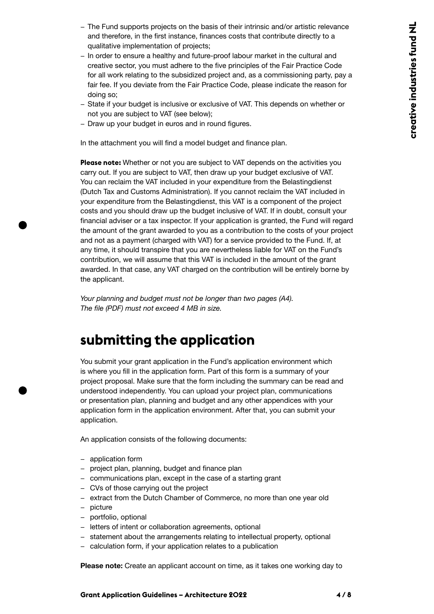- − The Fund supports projects on the basis of their intrinsic and/or artistic relevance and therefore, in the first instance, finances costs that contribute directly to a qualitative implementation of projects;
- − In order to ensure a healthy and future-proof labour market in the cultural and creative sector, you must adhere to the five principles of the Fair Practice Code for all work relating to the subsidized project and, as a commissioning party, pay a fair fee. If you deviate from the Fair Practice Code, please indicate the reason for doing so;
- − State if your budget is inclusive or exclusive of VAT. This depends on whether or not you are subject to VAT (see below);
- − Draw up your budget in euros and in round figures.

In the attachment you will find a model budget and finance plan.

**Please note:** Whether or not you are subject to VAT depends on the activities you carry out. If you are subject to VAT, then draw up your budget exclusive of VAT. You can reclaim the VAT included in your expenditure from the Belastingdienst (Dutch Tax and Customs Administration). If you cannot reclaim the VAT included in your expenditure from the Belastingdienst, this VAT is a component of the project costs and you should draw up the budget inclusive of VAT. If in doubt, consult your financial adviser or a tax inspector. If your application is granted, the Fund will regard the amount of the grant awarded to you as a contribution to the costs of your project and not as a payment (charged with VAT) for a service provided to the Fund. If, at any time, it should transpire that you are nevertheless liable for VAT on the Fund's contribution, we will assume that this VAT is included in the amount of the grant awarded. In that case, any VAT charged on the contribution will be entirely borne by the applicant.

*Your planning and budget must not be longer than two pages (A4). The file (PDF) must not exceed 4 MB in size.* 

### **submitting the application**

You submit your grant application in the Fund's application environment which is where you fill in the application form. Part of this form is a summary of your project proposal. Make sure that the form including the summary can be read and understood independently. You can upload your project plan, communications or presentation plan, planning and budget and any other appendices with your application form in the application environment. After that, you can submit your application.

An application consists of the following documents:

- − application form
- − project plan, planning, budget and finance plan
- − communications plan, except in the case of a starting grant
- − CVs of those carrying out the project
- − extract from the Dutch Chamber of Commerce, no more than one year old
- − picture
- − portfolio, optional
- − letters of intent or collaboration agreements, optional
- − statement about the arrangements relating to intellectual property, optional
- − calculation form, if your application relates to a publication

**Please note:** Create an applicant account on time, as it takes one working day to

**Grant Application Guidelines – Architecture 2022 4 / 8**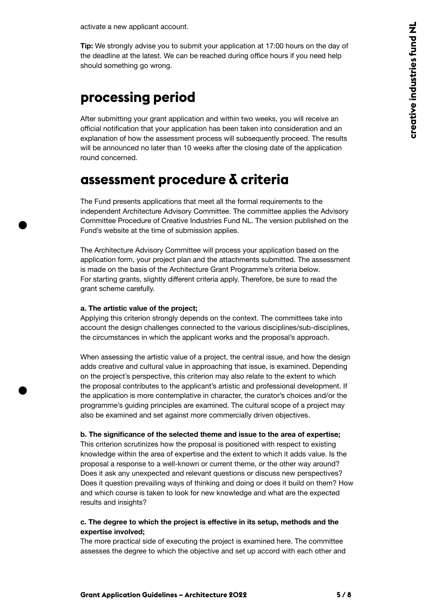<span id="page-4-0"></span>activate a new applicant account.

**Tip:** We strongly advise you to submit your application at 17:00 hours on the day of the deadline at the latest. We can be reached during office hours if you need help should something go wrong.

## **processing period**

After submitting your grant application and within two weeks, you will receive an official notification that your application has been taken into consideration and an explanation of how the assessment process will subsequently proceed. The results will be announced no later than 10 weeks after the closing date of the application round concerned.

### **assessment procedure & criteria**

The Fund presents applications that meet all the formal requirements to the independent Architecture Advisory Committee. The committee applies the Advisory Committee Procedure of Creative Industries Fund NL. The version published on the Fund's website at the time of submission applies.

The Architecture Advisory Committee will process your application based on the application form, your project plan and the attachments submitted. The assessment is made on the basis of the Architecture Grant Programme's criteria below. For starting grants, slightly different criteria apply. Therefore, be sure to read the grant scheme carefully.

#### **a. The artistic value of the project;**

Applying this criterion strongly depends on the context. The committees take into account the design challenges connected to the various disciplines/sub-disciplines, the circumstances in which the applicant works and the proposal's approach.

When assessing the artistic value of a project, the central issue, and how the design adds creative and cultural value in approaching that issue, is examined. Depending on the project's perspective, this criterion may also relate to the extent to which the proposal contributes to the applicant's artistic and professional development. If the application is more contemplative in character, the curator's choices and/or the programme's guiding principles are examined. The cultural scope of a project may also be examined and set against more commercially driven objectives.

### **b. The significance of the selected theme and issue to the area of expertise;**

This criterion scrutinizes how the proposal is positioned with respect to existing knowledge within the area of expertise and the extent to which it adds value. Is the proposal a response to a well-known or current theme, or the other way around? Does it ask any unexpected and relevant questions or discuss new perspectives? Does it question prevailing ways of thinking and doing or does it build on them? How and which course is taken to look for new knowledge and what are the expected results and insights?

### **c. The degree to which the project is effective in its setup, methods and the expertise involved;**

The more practical side of executing the project is examined here. The committee assesses the degree to which the objective and set up accord with each other and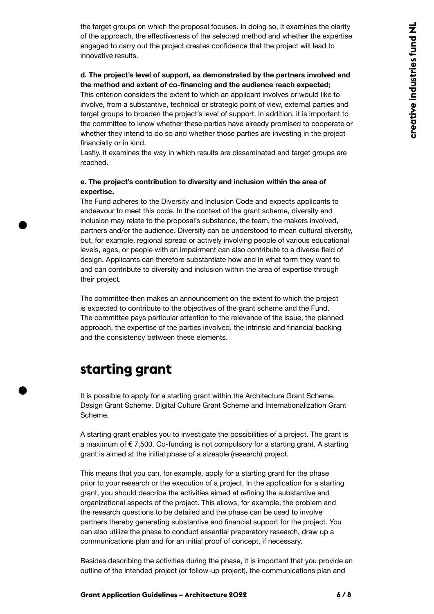<span id="page-5-0"></span>the target groups on which the proposal focuses. In doing so, it examines the clarity of the approach, the effectiveness of the selected method and whether the expertise engaged to carry out the project creates confidence that the project will lead to innovative results.

#### **d. The project's level of support, as demonstrated by the partners involved and the method and extent of co-financing and the audience reach expected;**

This criterion considers the extent to which an applicant involves or would like to involve, from a substantive, technical or strategic point of view, external parties and target groups to broaden the project's level of support. In addition, it is important to the committee to know whether these parties have already promised to cooperate or whether they intend to do so and whether those parties are investing in the project financially or in kind.

Lastly, it examines the way in which results are disseminated and target groups are reached.

#### **e. The project's contribution to diversity and inclusion within the area of expertise.**

The Fund adheres to the Diversity and Inclusion Code and expects applicants to endeavour to meet this code. In the context of the grant scheme, diversity and inclusion may relate to the proposal's substance, the team, the makers involved, partners and/or the audience. Diversity can be understood to mean cultural diversity, but, for example, regional spread or actively involving people of various educational levels, ages, or people with an impairment can also contribute to a diverse field of design. Applicants can therefore substantiate how and in what form they want to and can contribute to diversity and inclusion within the area of expertise through their project.

The committee then makes an announcement on the extent to which the project is expected to contribute to the objectives of the grant scheme and the Fund. The committee pays particular attention to the relevance of the issue, the planned approach, the expertise of the parties involved, the intrinsic and financial backing and the consistency between these elements.

## **starting grant**

It is possible to apply for a starting grant within the Architecture Grant Scheme, Design Grant Scheme, Digital Culture Grant Scheme and Internationalization Grant Scheme.

A starting grant enables you to investigate the possibilities of a project. The grant is a maximum of  $\epsilon$  7,500. Co-funding is not compulsory for a starting grant. A starting grant is aimed at the initial phase of a sizeable (research) project.

This means that you can, for example, apply for a starting grant for the phase prior to your research or the execution of a project. In the application for a starting grant, you should describe the activities aimed at refining the substantive and organizational aspects of the project. This allows, for example, the problem and the research questions to be detailed and the phase can be used to involve partners thereby generating substantive and financial support for the project. You can also utilize the phase to conduct essential preparatory research, draw up a communications plan and for an initial proof of concept, if necessary.

Besides describing the activities during the phase, it is important that you provide an outline of the intended project (or follow-up project), the communications plan and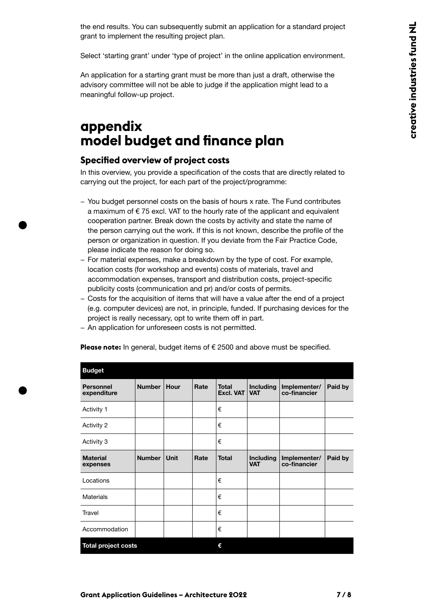the end results. You can subsequently submit an application for a standard project grant to implement the resulting project plan.

Select 'starting grant' under 'type of project' in the online application environment.

An application for a starting grant must be more than just a draft, otherwise the advisory committee will not be able to judge if the application might lead to a meaningful follow-up project.

## **appendix model budget and finance plan**

### **Specified overview of project costs**

In this overview, you provide a specification of the costs that are directly related to carrying out the project, for each part of the project/programme:

- − You budget personnel costs on the basis of hours x rate. The Fund contributes a maximum of  $\epsilon$  75 excl. VAT to the hourly rate of the applicant and equivalent cooperation partner. Break down the costs by activity and state the name of the person carrying out the work. If this is not known, describe the profile of the person or organization in question. If you deviate from the Fair Practice Code, please indicate the reason for doing so.
- − For material expenses, make a breakdown by the type of cost. For example, location costs (for workshop and events) costs of materials, travel and accommodation expenses, transport and distribution costs, project-specific publicity costs (communication and pr) and/or costs of permits.
- − Costs for the acquisition of items that will have a value after the end of a project (e.g. computer devices) are not, in principle, funded. If purchasing devices for the project is really necessary, opt to write them off in part.
- − An application for unforeseen costs is not permitted.

| <b>Budget</b>                   |               |             |      |                                  |                                |                              |         |
|---------------------------------|---------------|-------------|------|----------------------------------|--------------------------------|------------------------------|---------|
| <b>Personnel</b><br>expenditure | <b>Number</b> | Hour        | Rate | <b>Total</b><br><b>Excl. VAT</b> | <b>Including</b><br><b>VAT</b> | Implementer/<br>co-financier | Paid by |
| Activity 1                      |               |             |      | €                                |                                |                              |         |
| Activity 2                      |               |             |      | €                                |                                |                              |         |
| Activity 3                      |               |             |      | €                                |                                |                              |         |
| <b>Material</b><br>expenses     | <b>Number</b> | <b>Unit</b> | Rate | <b>Total</b>                     | Including<br><b>VAT</b>        | Implementer/<br>co-financier | Paid by |
| Locations                       |               |             |      | €                                |                                |                              |         |
| <b>Materials</b>                |               |             |      | €                                |                                |                              |         |
| <b>Travel</b>                   |               |             |      | €                                |                                |                              |         |
| Accommodation                   |               |             |      | €                                |                                |                              |         |
| <b>Total project costs</b>      |               |             |      | €                                |                                |                              |         |

**Please note:** In general, budget items of € 2500 and above must be specified.